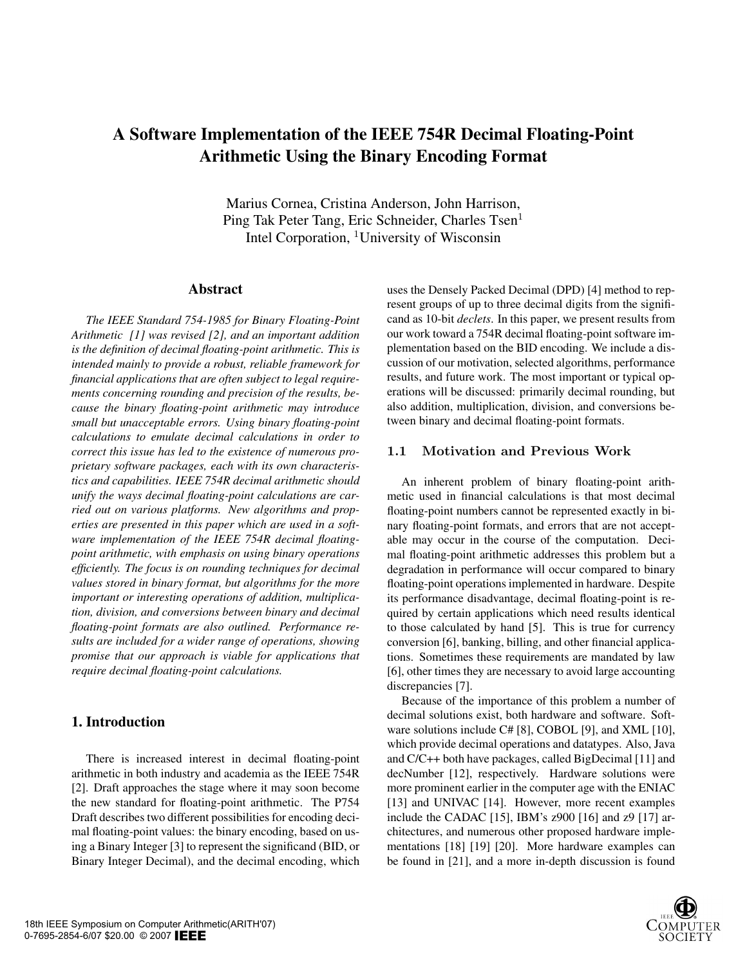# **A Software Implementation of the IEEE 754R Decimal Floating-Point Arithmetic Using the Binary Encoding Format**

Marius Cornea, Cristina Anderson, John Harrison, Ping Tak Peter Tang, Eric Schneider, Charles Tsen<sup>1</sup> Intel Corporation, <sup>1</sup>University of Wisconsin

#### **Abstract**

*The IEEE Standard 754-1985 for Binary Floating-Point Arithmetic [1] was revised [2], and an important addition is the definition of decimal floating-point arithmetic. This is intended mainly to provide a robust, reliable framework for financial applications that are often subject to legal requirements concerning rounding and precision of the results, because the binary floating-point arithmetic may introduce small but unacceptable errors. Using binary floating-point calculations to emulate decimal calculations in order to correct this issue has led to the existence of numerous proprietary software packages, each with its own characteristics and capabilities. IEEE 754R decimal arithmetic should unify the ways decimal floating-point calculations are carried out on various platforms. New algorithms and properties are presented in this paper which are used in a software implementation of the IEEE 754R decimal floatingpoint arithmetic, with emphasis on using binary operations efficiently. The focus is on rounding techniques for decimal values stored in binary format, but algorithms for the more important or interesting operations of addition, multiplication, division, and conversions between binary and decimal floating-point formats are also outlined. Performance results are included for a wider range of operations, showing promise that our approach is viable for applications that require decimal floating-point calculations.*

#### **1. Introduction**

There is increased interest in decimal floating-point arithmetic in both industry and academia as the IEEE 754R [2]. Draft approaches the stage where it may soon become the new standard for floating-point arithmetic. The P754 Draft describes two different possibilities for encoding decimal floating-point values: the binary encoding, based on using a Binary Integer [3] to represent the significand (BID, or Binary Integer Decimal), and the decimal encoding, which

uses the Densely Packed Decimal (DPD) [4] method to represent groups of up to three decimal digits from the significand as 10-bit *declets*. In this paper, we present results from our work toward a 754R decimal floating-point software implementation based on the BID encoding. We include a discussion of our motivation, selected algorithms, performance results, and future work. The most important or typical operations will be discussed: primarily decimal rounding, but also addition, multiplication, division, and conversions between binary and decimal floating-point formats.

#### **1.1 Motivation and Previous Work**

An inherent problem of binary floating-point arithmetic used in financial calculations is that most decimal floating-point numbers cannot be represented exactly in binary floating-point formats, and errors that are not acceptable may occur in the course of the computation. Decimal floating-point arithmetic addresses this problem but a degradation in performance will occur compared to binary floating-point operations implemented in hardware. Despite its performance disadvantage, decimal floating-point is required by certain applications which need results identical to those calculated by hand [5]. This is true for currency conversion [6], banking, billing, and other financial applications. Sometimes these requirements are mandated by law [6], other times they are necessary to avoid large accounting discrepancies [7].

Because of the importance of this problem a number of decimal solutions exist, both hardware and software. Software solutions include C# [8], COBOL [9], and XML [10], which provide decimal operations and datatypes. Also, Java and C/C++ both have packages, called BigDecimal [11] and decNumber [12], respectively. Hardware solutions were more prominent earlier in the computer age with the ENIAC [13] and UNIVAC [14]. However, more recent examples include the CADAC [15], IBM's z900 [16] and z9 [17] architectures, and numerous other proposed hardware implementations [18] [19] [20]. More hardware examples can be found in [21], and a more in-depth discussion is found

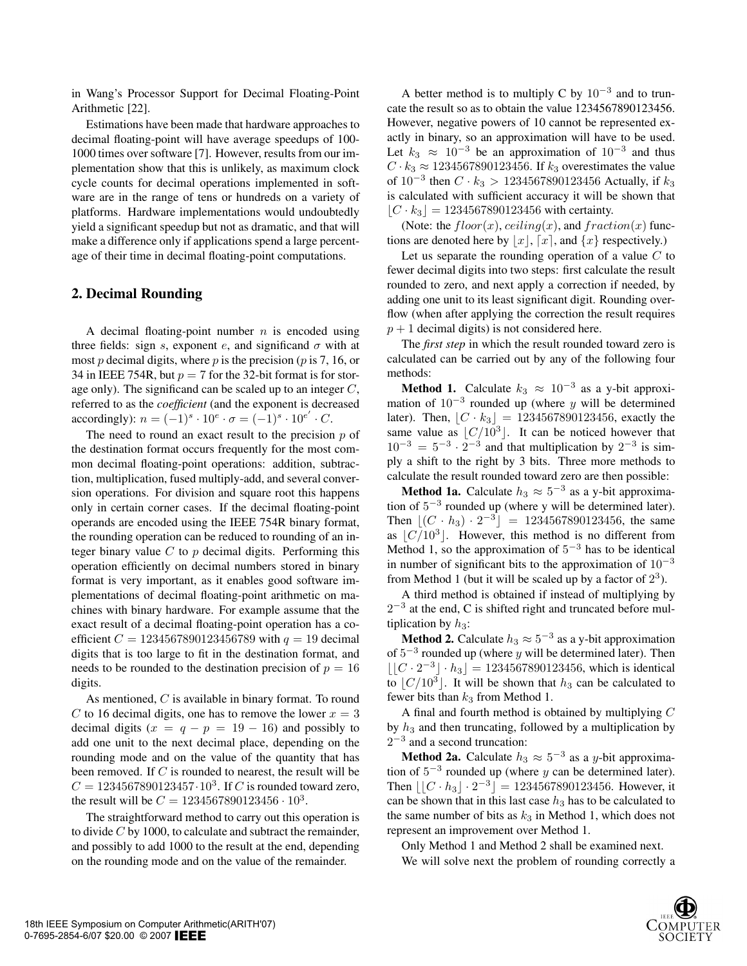in Wang's Processor Support for Decimal Floating-Point Arithmetic [22].

Estimations have been made that hardware approaches to decimal floating-point will have average speedups of 100- 1000 times over software [7]. However, results from our implementation show that this is unlikely, as maximum clock cycle counts for decimal operations implemented in software are in the range of tens or hundreds on a variety of platforms. Hardware implementations would undoubtedly yield a significant speedup but not as dramatic, and that will make a difference only if applications spend a large percentage of their time in decimal floating-point computations.

## **2. Decimal Rounding**

A decimal floating-point number  $n$  is encoded using three fields: sign s, exponent e, and significand  $\sigma$  with at most p decimal digits, where p is the precision (p is 7, 16, or 34 in IEEE 754R, but  $p = 7$  for the 32-bit format is for storage only). The significand can be scaled up to an integer  $C$ , referred to as the *coefficient* (and the exponent is decreased accordingly):  $n = (-1)^s \cdot 10^e \cdot \sigma = (-1)^s \cdot 10^{e'} \cdot C$ .

The need to round an exact result to the precision  $p$  of the destination format occurs frequently for the most common decimal floating-point operations: addition, subtraction, multiplication, fused multiply-add, and several conversion operations. For division and square root this happens only in certain corner cases. If the decimal floating-point operands are encoded using the IEEE 754R binary format, the rounding operation can be reduced to rounding of an integer binary value  $C$  to  $p$  decimal digits. Performing this operation efficiently on decimal numbers stored in binary format is very important, as it enables good software implementations of decimal floating-point arithmetic on machines with binary hardware. For example assume that the exact result of a decimal floating-point operation has a coefficient  $C = 1234567890123456789$  with  $q = 19$  decimal digits that is too large to fit in the destination format, and needs to be rounded to the destination precision of  $p = 16$ digits.

As mentioned,  $C$  is available in binary format. To round C to 16 decimal digits, one has to remove the lower  $x = 3$ decimal digits ( $x = q - p = 19 - 16$ ) and possibly to add one unit to the next decimal place, depending on the rounding mode and on the value of the quantity that has been removed. If C is rounded to nearest, the result will be  $C = 1234567890123457 \cdot 10^3$ . If C is rounded toward zero, the result will be  $C = 1234567890123456 \cdot 10^3$ .

The straightforward method to carry out this operation is to divide  $C$  by 1000, to calculate and subtract the remainder, and possibly to add 1000 to the result at the end, depending on the rounding mode and on the value of the remainder.

A better method is to multiply C by  $10^{-3}$  and to truncate the result so as to obtain the value 1234567890123456. However, negative powers of 10 cannot be represented exactly in binary, so an approximation will have to be used. Let  $k_3 \approx 10^{-3}$  be an approximation of  $10^{-3}$  and thus  $C \cdot k_3 \approx 1234567890123456$ . If  $k_3$  overestimates the value of  $10^{-3}$  then  $C \cdot k_3 > 1234567890123456$  Actually, if  $k_3$ is calculated with sufficient accuracy it will be shown that  $[C \cdot k_3] = 1234567890123456$  with certainty.

(Note: the  $floor(x)$ ,  $ceiling(x)$ , and  $fraction(x)$  functions are denoted here by  $\lfloor x \rfloor$ ,  $\lceil x \rceil$ , and  $\{x\}$  respectively.)

Let us separate the rounding operation of a value  $C$  to fewer decimal digits into two steps: first calculate the result rounded to zero, and next apply a correction if needed, by adding one unit to its least significant digit. Rounding overflow (when after applying the correction the result requires  $p + 1$  decimal digits) is not considered here.

The *first step* in which the result rounded toward zero is calculated can be carried out by any of the following four methods:

**Method 1.** Calculate  $k_3 \approx 10^{-3}$  as a y-bit approximation of  $10^{-3}$  rounded up (where y will be determined later). Then,  $[C \cdot k_3] = 1234567890123456$ , exactly the same value as  $\lfloor C/10^3 \rfloor$ . It can be noticed however that  $10^{-3} = 5^{-3} \cdot 2^{-3}$  and that multiplication by  $2^{-3}$  is simply a shift to the right by 3 bits. Three more methods to calculate the result rounded toward zero are then possible:

**Method 1a.** Calculate  $h_3 \approx 5^{-3}$  as a y-bit approximation of  $5^{-3}$  rounded up (where y will be determined later). Then  $\lfloor (C \cdot h_3) \cdot 2^{-3} \rfloor = 1234567890123456$ , the same as  $\lfloor C/10^3 \rfloor$ . However, this method is no different from Method 1, so the approximation of  $5^{-3}$  has to be identical in number of significant bits to the approximation of  $10^{-3}$ from Method 1 (but it will be scaled up by a factor of  $2<sup>3</sup>$ ).

A third method is obtained if instead of multiplying by  $2^{-3}$  at the end, C is shifted right and truncated before multiplication by  $h_3$ :

**Method 2.** Calculate  $h_3 \approx 5^{-3}$  as a y-bit approximation of  $5^{-3}$  rounded up (where y will be determined later). Then  $\lfloor [C \cdot 2^{-3}] \cdot h_3 \rfloor = 1234567890123456$ , which is identical to  $\lfloor C/10^3 \rfloor$ . It will be shown that  $h_3$  can be calculated to fewer bits than  $k_3$  from Method 1.

A final and fourth method is obtained by multiplying C by  $h_3$  and then truncating, followed by a multiplication by  $2^{-3}$  and a second truncation:

**Method 2a.** Calculate  $h_3 \approx 5^{-3}$  as a y-bit approximation of  $5^{-3}$  rounded up (where y can be determined later). Then  $\lfloor |C \cdot h_3| \cdot 2^{-3} \rfloor = 1234567890123456$ . However, it can be shown that in this last case  $h_3$  has to be calculated to the same number of bits as  $k_3$  in Method 1, which does not represent an improvement over Method 1.

Only Method 1 and Method 2 shall be examined next. We will solve next the problem of rounding correctly a

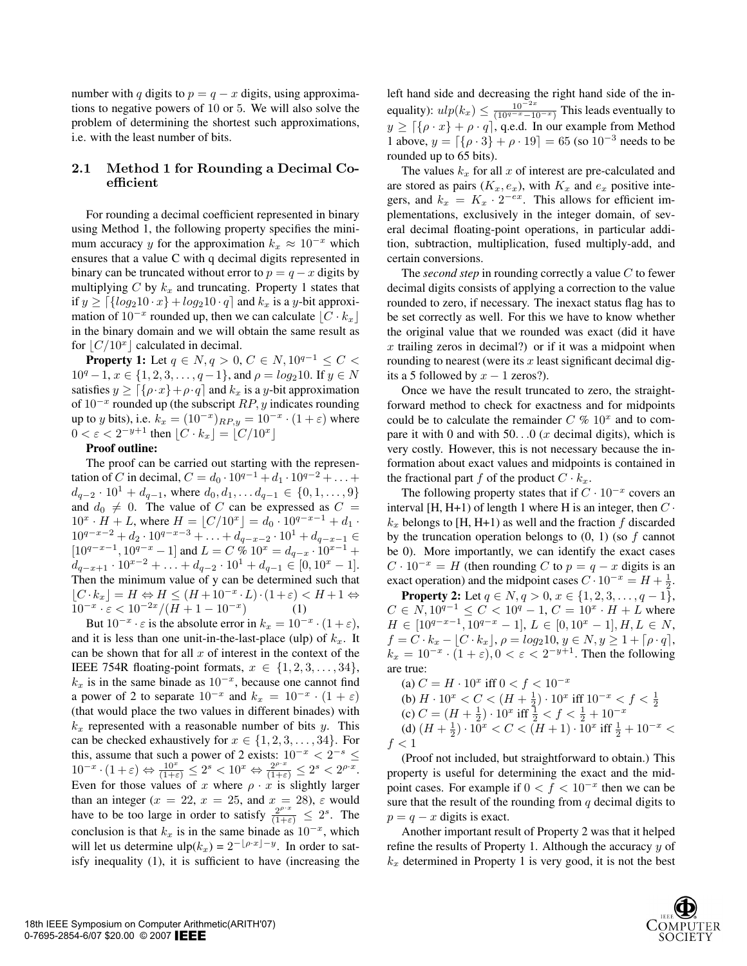number with q digits to  $p = q - x$  digits, using approximations to negative powers of 10 or 5. We will also solve the problem of determining the shortest such approximations, i.e. with the least number of bits.

### **2.1 Method 1 for Rounding a Decimal Coefficient**

For rounding a decimal coefficient represented in binary using Method 1, the following property specifies the minimum accuracy y for the approximation  $k_x \approx 10^{-x}$  which ensures that a value C with q decimal digits represented in binary can be truncated without error to  $p = q - x$  digits by multiplying C by  $k_x$  and truncating. Property 1 states that if  $y \geq \lceil \{ \log_2 10 \cdot x \} + \log_2 10 \cdot q \rceil$  and  $k_x$  is a y-bit approximation of  $10^{-x}$  rounded up, then we can calculate  $\left[ \overrightarrow{C} \cdot k_x \right]$ in the binary domain and we will obtain the same result as for  $\lfloor C/10^x \rfloor$  calculated in decimal.

**Property 1:** Let  $q \in N$ ,  $q > 0$ ,  $C \in N$ ,  $10^{q-1} \le C <$  $10^q - 1, x \in \{1, 2, 3, \ldots, q - 1\}$ , and  $\rho = log_2 10$ . If  $y \in N$ satisfies  $y \geq \lfloor \{\rho \cdot x\} + \rho \cdot q \rfloor$  and  $k_x$  is a y-bit approximation of  $10^{-x}$  rounded up (the subscript  $RP$ , y indicates rounding up to y bits), i.e.  $k_x = (10^{-x})_{RP,y} = 10^{-x} \cdot (1 + \varepsilon)$  where  $0 < \varepsilon < 2^{-y+1}$  then  $\left| \vec{C} \cdot k_x \right| = \left| \vec{C} / 10^x \right|$ 

#### **Proof outline:**

The proof can be carried out starting with the representation of C in decimal,  $C = d_0 \cdot 10^{q-1} + d_1 \cdot 10^{q-2} + \ldots$  $d_{q-2} \cdot 10^{1} + d_{q-1}$ , where  $d_0, d_1, \ldots, d_{q-1} \in \{0, 1, \ldots, 9\}$ and  $d_0 \neq 0$ . The value of C can be expressed as  $C =$  $10^x \cdot H + L$ , where  $H = [C/10^x] = d_0 \cdot 10^{q-x-1} + d_1$ .  $10^{q-x-2} + d_2 \cdot 10^{q-x-3} + \ldots + d_{q-x-2} \cdot 10^1 + d_{q-x-1} \in$  $[10^{q-x-1}, 10^{q-x}-1]$  and  $L = C \overset{\circ}{\mathcal{R}} 10^x = d_{q-x} \cdot 10^{x-1} +$  $d_{q-x+1} \cdot 10^{x-2} + \ldots + d_{q-2} \cdot 10^1 + d_{q-1} \in [0, 10^x - 1].$ Then the minimum value of y can be determined such that  $[C \cdot k_x] = H \Leftrightarrow H \leq (H + 10^{-x} \cdot L) \cdot (1 + \varepsilon) < H + 1 \Leftrightarrow$  $10^{-x} \cdot \varepsilon < 10^{-2x} / (H + 1 - 10^{-x})$  (1)

But  $10^{-x} \cdot \varepsilon$  is the absolute error in  $k_x = 10^{-x} \cdot (1 + \varepsilon)$ , and it is less than one unit-in-the-last-place (ulp) of  $k_x$ . It can be shown that for all  $x$  of interest in the context of the IEEE 754R floating-point formats,  $x \in \{1, 2, 3, \ldots, 34\},\$  $k_x$  is in the same binade as  $10^{-x}$ , because one cannot find a power of 2 to separate  $10^{-x}$  and  $k_x = 10^{-x} \cdot (1 + \varepsilon)$ (that would place the two values in different binades) with  $k_x$  represented with a reasonable number of bits y. This can be checked exhaustively for  $x \in \{1, 2, 3, \ldots, 34\}$ . For this, assume that such a power of 2 exists:  $10^{-x} < 2^{-s} \le$  $10^{-x} \cdot (1+\varepsilon) \Leftrightarrow \frac{10^x}{(1+\varepsilon)} \leq 2^s < 10^x \Leftrightarrow \frac{2^{\rho \cdot x}}{(1+\varepsilon)} \leq 2^s < 2^{\rho \cdot x}.$ Even for those values of x where  $\rho \cdot x$  is slightly larger than an integer ( $x = 22$ ,  $x = 25$ , and  $x = 28$ ),  $\varepsilon$  would have to be too large in order to satisfy  $\frac{2^{p \cdot x}}{(1+\epsilon)} \leq 2^s$ . The conclusion is that  $k_x$  is in the same binade as  $10^{-x}$ , which will let us determine  $\text{ulp}(k_x) = 2^{-\lfloor \rho \cdot x \rfloor - y}$ . In order to satisfy inequality (1), it is sufficient to have (increasing the

left hand side and decreasing the right hand side of the inequality):  $ulp(k_x) \leq \frac{10^{-2x}}{(10^{q-x}-10^{-x})}$  This leads eventually to  $y \geq \lceil {\rho \cdot x} + \rho \cdot q \rceil$ , q.e.d. In our example from Method 1 above,  $y = \left\{ \left\{ \rho \cdot 3 \right\} + \rho \cdot 19 \right\} = 65$  (so  $10^{-3}$  needs to be rounded up to 65 bits).

The values  $k_x$  for all x of interest are pre-calculated and are stored as pairs  $(K_x, e_x)$ , with  $K_x$  and  $e_x$  positive integers, and  $k_x = K_x \cdot 2^{-ex}$ . This allows for efficient implementations, exclusively in the integer domain, of several decimal floating-point operations, in particular addition, subtraction, multiplication, fused multiply-add, and certain conversions.

The *second step* in rounding correctly a value C to fewer decimal digits consists of applying a correction to the value rounded to zero, if necessary. The inexact status flag has to be set correctly as well. For this we have to know whether the original value that we rounded was exact (did it have  $x$  trailing zeros in decimal?) or if it was a midpoint when rounding to nearest (were its  $x$  least significant decimal digits a 5 followed by  $x - 1$  zeros?).

Once we have the result truncated to zero, the straightforward method to check for exactness and for midpoints could be to calculate the remainder  $C \%$  10<sup>x</sup> and to compare it with 0 and with  $50...0$  (x decimal digits), which is very costly. However, this is not necessary because the information about exact values and midpoints is contained in the fractional part f of the product  $C \cdot k_x$ .

The following property states that if  $C \cdot 10^{-x}$  covers an interval  $[H, H+1)$  of length 1 where H is an integer, then  $C \cdot$  $k_x$  belongs to [H, H+1) as well and the fraction f discarded by the truncation operation belongs to  $(0, 1)$  (so  $f$  cannot be 0). More importantly, we can identify the exact cases  $C \cdot 10^{-x} = H$  (then rounding C to  $p = q - x$  digits is an exact operation) and the midpoint cases  $C \cdot 10^{-x} = H + \frac{1}{2}$ .

**Property 2:** Let  $q \in N, q > 0, x \in \{1, 2, 3, \ldots, q - 1\},\$  $C \in N$ ,  $10^{q-1} \le C < 10^q - 1$ ,  $C = 10^x \cdot H + L$  where  $H \in [10^{q-x-1}, 10^{q-x} - 1], L \in [0, 10^x - 1], H, L \in N$ ,  $f = C \cdot k_x - [C \cdot k_x], \rho = log_2 10, y \in N, y \ge 1 + \lceil \rho \cdot q \rceil,$  $k_x = 10^{-x} \cdot (1 + \varepsilon)$ ,  $0 < \varepsilon < 2^{-y+1}$ . Then the following are true:

(a) 
$$
C = H \cdot 10^x
$$
 iff  $0 < f < 10^{-x}$   
\n(b)  $H \cdot 10^x < C < (H + \frac{1}{2}) \cdot 10^x$  iff  $10^{-x} < f < \frac{1}{2}$   
\n(c)  $C = (H + \frac{1}{2}) \cdot 10^x$  iff  $\frac{1}{2} < f < \frac{1}{2} + 10^{-x}$   
\n(d)  $(H + \frac{1}{2}) \cdot 10^x < C < (H + 1) \cdot 10^x$  iff  $\frac{1}{2} + 10^{-x} < f < 1$ 

(Proof not included, but straightforward to obtain.) This property is useful for determining the exact and the midpoint cases. For example if  $0 < f < 10^{-x}$  then we can be sure that the result of the rounding from  $q$  decimal digits to  $p = q - x$  digits is exact.

Another important result of Property 2 was that it helped refine the results of Property 1. Although the accuracy y of  $k_x$  determined in Property 1 is very good, it is not the best

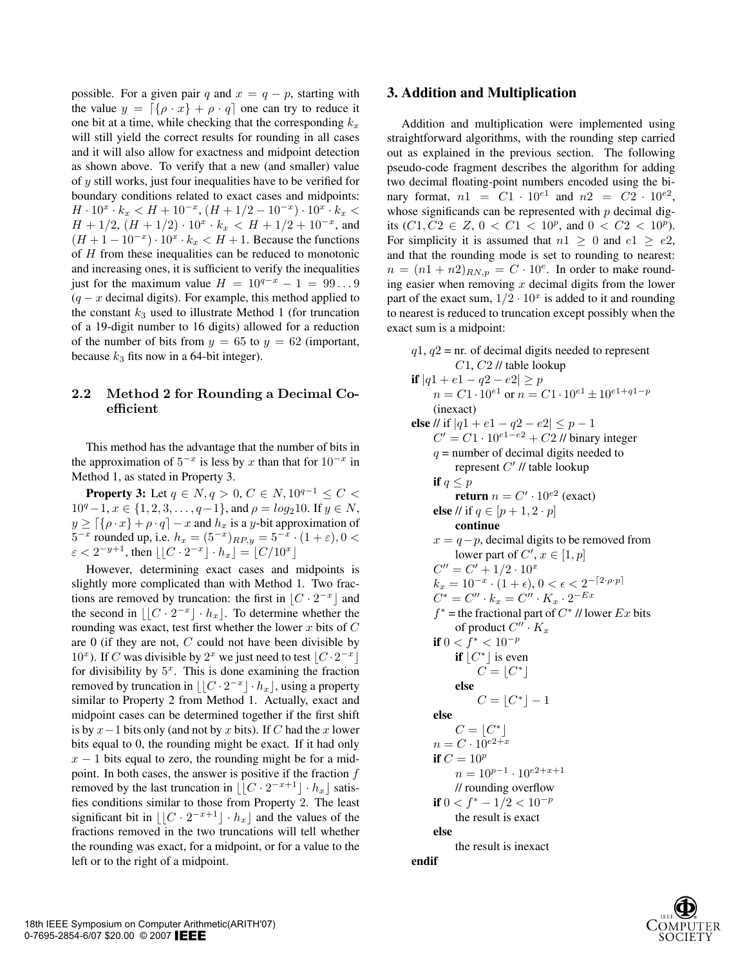possible. For a given pair q and  $x = q - p$ , starting with the value  $y = \left[\{\rho \cdot x\} + \rho \cdot q\right]$  one can try to reduce it one bit at a time, while checking that the corresponding  $k_x$ will still yield the correct results for rounding in all cases and it will also allow for exactness and midpoint detection as shown above. To verify that a new (and smaller) value of y still works, just four inequalities have to be verified for boundary conditions related to exact cases and midpoints:  $H \cdot 10^x \cdot k_x < H + 10^{-x}, (H + 1/2 - 10^{-x}) \cdot 10^x \cdot k_x <$  $H + 1/2$ ,  $(H + 1/2) \cdot 10^{x} \cdot k_x < H + 1/2 + 10^{-x}$ , and  $(H + 1 - 10^{-x}) \cdot 10^x \cdot k_x < H + 1$ . Because the functions of H from these inequalities can be reduced to monotonic and increasing ones, it is sufficient to verify the inequalities just for the maximum value  $H = 10^{q-x} - 1 = 99...9$  $(q - x)$  decimal digits). For example, this method applied to the constant  $k_3$  used to illustrate Method 1 (for truncation of a 19-digit number to 16 digits) allowed for a reduction of the number of bits from  $y = 65$  to  $y = 62$  (important, because  $k_3$  fits now in a 64-bit integer).

## **2.2 Method 2 for Rounding a Decimal Coefficient**

This method has the advantage that the number of bits in the approximation of  $5^{-x}$  is less by x than that for  $10^{-x}$  in Method 1, as stated in Property 3.

**Property 3:** Let  $q \in N$ ,  $q > 0$ ,  $C \in N$ ,  $10^{q-1} \le C <$  $10^q - 1, x \in \{1, 2, 3, \ldots, q-1\}, \text{ and } \rho = log_2 10. \text{ If } y \in N,$  $y \geq \lceil {\rho \cdot x} + \rho \cdot q \rceil - x$  and  $h_x$  is a y-bit approximation of  $5^{-x}$  rounded up, i.e.  $h_x = (5^{-x})_{RP,y} = 5^{-x} \cdot (1 + \varepsilon)$ , 0 <  $\varepsilon < 2^{-y+1}$ , then  $\lfloor |C \cdot 2^{-x}| \cdot h_x \rfloor = |C/10^x|$ 

However, determining exact cases and midpoints is slightly more complicated than with Method 1. Two fractions are removed by truncation: the first in  $[C \cdot 2^{-x}]$  and the second in  $\lfloor [C \cdot 2^{-x}] \cdot h_x \rfloor$ . To determine whether the rounding was exact, test first whether the lower  $x$  bits of  $C$ are  $0$  (if they are not,  $C$  could not have been divisible by  $10^x$ ). If C was divisible by  $2^x$  we just need to test  $\lfloor C \cdot 2^{-x} \rfloor$ for divisibility by  $5<sup>x</sup>$ . This is done examining the fraction removed by truncation in  $\lfloor [C \cdot 2^{-x}] \cdot h_x \rfloor$ , using a property similar to Property 2 from Method 1. Actually, exact and midpoint cases can be determined together if the first shift is by  $x-1$  bits only (and not by x bits). If C had the x lower bits equal to 0, the rounding might be exact. If it had only  $x - 1$  bits equal to zero, the rounding might be for a midpoint. In both cases, the answer is positive if the fraction  $f$ removed by the last truncation in  $\lfloor C \cdot 2^{-x+1} \rfloor \cdot h_x \rfloor$  satisfies conditions similar to those from Property 2. The least significant bit in  $\lfloor |C \cdot 2^{-x+1}| \cdot h_x \rfloor$  and the values of the fractions removed in the two truncations will tell whether the rounding was exact, for a midpoint, or for a value to the left or to the right of a midpoint.

## **3. Addition and Multiplication**

Addition and multiplication were implemented using straightforward algorithms, with the rounding step carried out as explained in the previous section. The following pseudo-code fragment describes the algorithm for adding two decimal floating-point numbers encoded using the binary format,  $n_1 = C_1 \cdot 10^{e_1}$  and  $n_2 = C_2 \cdot 10^{e_2}$ , whose significands can be represented with  $p$  decimal digits  $(C1, C2 \in Z, 0 < C1 < 10^p$ , and  $0 < C2 < 10^p$ ). For simplicity it is assumed that  $n1 \geq 0$  and  $e1 \geq e2$ , and that the rounding mode is set to rounding to nearest:  $n = (n1 + n2)_{RN,p} = C \cdot 10^e$ . In order to make rounding easier when removing  $x$  decimal digits from the lower part of the exact sum,  $1/2 \cdot 10^{x}$  is added to it and rounding to nearest is reduced to truncation except possibly when the exact sum is a midpoint:

 $q_1$ ,  $q_2$  = nr. of decimal digits needed to represent  $C1, C2$  // table lookup **if**  $|q1 + e1 - q2 - e2| \geq p$  $n = C1 \cdot 10^{e1}$  or  $n = C1 \cdot 10^{e1} \pm 10^{e1+q1-p}$ (inexact) **else** // if  $|q1 + e1 - q2 - e2| \leq p - 1$  $C' = C1 \cdot 10^{e_1-e_2} + C2$  // binary integer  $q$  = number of decimal digits needed to represent  $C'/l$  table lookup **if**  $q \leq p$ **return**  $n = C' \cdot 10^{e2}$  (exact) **else** // if  $q \in [p+1, 2 \cdot p]$ **continue**  $x = q - p$ , decimal digits to be removed from lower part of  $C', x \in [1, p]$  $C'' = C' + 1/2 \cdot 10^{x}$  $k_x = 10^{-x} \cdot (1 + \epsilon), 0 < \epsilon < 2^{-\lceil 2 \cdot \rho \cdot p \rceil}$  $C^* = C'' \cdot k_x = C'' \cdot K_x \cdot 2^{-Ex}$  $f^*$  = the fractional part of  $C^*$  // lower Ex bits of product  $C'' \cdot K_x$ **if**  $0 < f^* < 10^{-p}$ **if**  $\lfloor C^* \rfloor$  is even  $C = |C^*|$ **else**  $C = \lfloor C^* \rfloor - 1$ **else**  $C = \lfloor C^* \rfloor$  $n = C \cdot 10^{e^2 + x}$ **if**  $C = 10^p$  $n = 10^{p-1} \cdot 10^{e2+x+1}$ // rounding overflow **if**  $0 < f^* - 1/2 < 10^{-p}$ the result is exact **else** the result is inexact **endif**

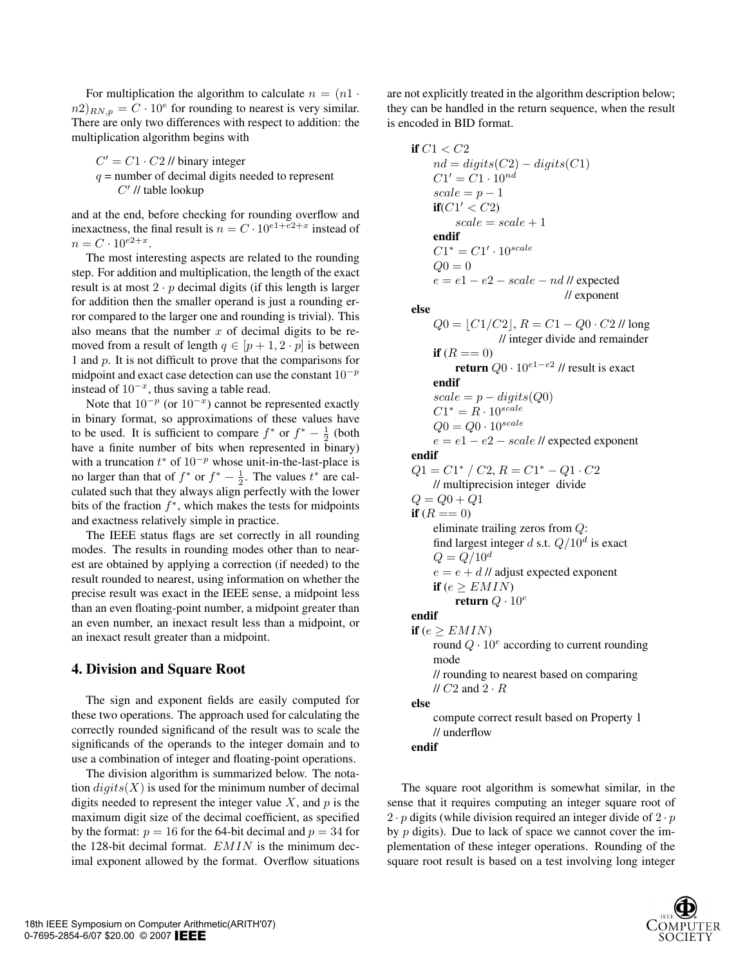For multiplication the algorithm to calculate  $n = (n1 \cdot$  $n/2}_{RN,p} = C \cdot 10^e$  for rounding to nearest is very similar. There are only two differences with respect to addition: the multiplication algorithm begins with

 $C' = C1 \cdot C2$  // binary integer  $q$  = number of decimal digits needed to represent  $C'$  // table lookup

and at the end, before checking for rounding overflow and inexactness, the final result is  $n = C \cdot 10^{e_1 + e_2 + x}$  instead of  $n = C \cdot 10^{e2+x}.$ 

The most interesting aspects are related to the rounding step. For addition and multiplication, the length of the exact result is at most  $2 \cdot p$  decimal digits (if this length is larger for addition then the smaller operand is just a rounding error compared to the larger one and rounding is trivial). This also means that the number  $x$  of decimal digits to be removed from a result of length  $q \in [p+1, 2 \cdot p]$  is between 1 and  $p$ . It is not difficult to prove that the comparisons for midpoint and exact case detection can use the constant  $10^{-p}$ instead of  $10^{-x}$ , thus saving a table read.

Note that  $10^{-p}$  (or  $10^{-x}$ ) cannot be represented exactly in binary format, so approximations of these values have to be used. It is sufficient to compare  $f^*$  or  $f^* - \frac{1}{2}$  (both have a finite number of bits when represented in binary) with a truncation  $t^*$  of  $10^{-p}$  whose unit-in-the-last-place is no larger than that of  $f^*$  or  $f^* - \frac{1}{2}$ . The values  $t^*$  are calculated such that they always align perfectly with the lower bits of the fraction  $f^*$ , which makes the tests for midpoints and exactness relatively simple in practice.

The IEEE status flags are set correctly in all rounding modes. The results in rounding modes other than to nearest are obtained by applying a correction (if needed) to the result rounded to nearest, using information on whether the precise result was exact in the IEEE sense, a midpoint less than an even floating-point number, a midpoint greater than an even number, an inexact result less than a midpoint, or an inexact result greater than a midpoint.

#### **4. Division and Square Root**

The sign and exponent fields are easily computed for these two operations. The approach used for calculating the correctly rounded significand of the result was to scale the significands of the operands to the integer domain and to use a combination of integer and floating-point operations.

The division algorithm is summarized below. The notation  $diqits(X)$  is used for the minimum number of decimal digits needed to represent the integer value  $X$ , and  $p$  is the maximum digit size of the decimal coefficient, as specified by the format:  $p = 16$  for the 64-bit decimal and  $p = 34$  for the 128-bit decimal format.  $EMIN$  is the minimum decimal exponent allowed by the format. Overflow situations are not explicitly treated in the algorithm description below; they can be handled in the return sequence, when the result is encoded in BID format.

\n**if** 
$$
C1 < C2
$$
  $nd = digits(C2) - digits(C1)$   $C1' = C1 \cdot 10^{nd}$   $scale = p - 1$  **if**  $(C1' < C2)$   $scale = scale + 1$  **endif**  $C1^* = C1' \cdot 10^{scale}$   $Q0 = 0$   $e = e1 - e2 - scale - nd/l$  expected  $l$  exponent\n

\n\n**else**  $Q0 = \lfloor C1/C2 \rfloor$ ,  $R = C1 - Q0 \cdot C2/l$  long  $l$  exponent\n

\n\n**else**  $Q0 = \lfloor C1/C2 \rfloor$ ,  $R = C1 - Q0 \cdot C2/l$  long  $l$  integer divide and remainder\n

\n\n**if**  $(R == 0)$  **return**  $Q0 \cdot 10^{e1 - e2} / l$  result is exact **endif**  $scale = p - digits(Q0)$   $C1^* = R \cdot 10^{scale}$   $Q0 = Q0 \cdot 10^{scale}$   $e = e1 - e2 - scale/l$  expected exponent **endif**  $C1 = C1^* / C2$ ,  $R = C1^* - Q1 \cdot C2$   $l$  multiprecision integer divide  $Q = Q0 + Q1$  **eliminate** training zeros from  $Q$ : find largest integer d s.t.  $Q/10^d$  is exact  $Q = Q/10^d$   $e = e + d/l$  adjust expected exponent\n

\n\n**if**  $(e \geq EMIN)$  **return**  $Q \cdot 10^e$  according to current rounding mode  $l$  rounding to nearest based on comparing  $l/C2$  and  $2 \cdot R$  **else compute correct result based on**

The square root algorithm is somewhat similar, in the sense that it requires computing an integer square root of  $2 \cdot p$  digits (while division required an integer divide of  $2 \cdot p$ by  $p$  digits). Due to lack of space we cannot cover the implementation of these integer operations. Rounding of the square root result is based on a test involving long integer

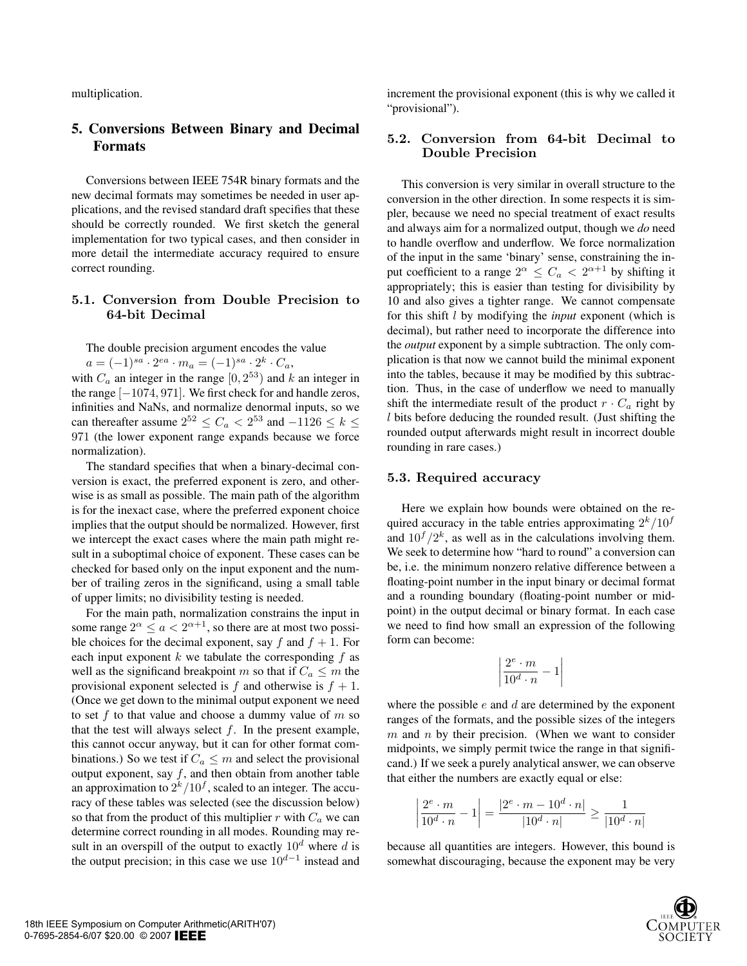multiplication.

# **5. Conversions Between Binary and Decimal Formats**

Conversions between IEEE 754R binary formats and the new decimal formats may sometimes be needed in user applications, and the revised standard draft specifies that these should be correctly rounded. We first sketch the general implementation for two typical cases, and then consider in more detail the intermediate accuracy required to ensure correct rounding.

### **5.1. Conversion from Double Precision to 64-bit Decimal**

The double precision argument encodes the value

 $a = (-1)^{sa} \cdot 2^{ea} \cdot m_a = (-1)^{sa} \cdot 2^k \cdot C_a,$ 

with  $C_a$  an integer in the range  $[0, 2^{53})$  and k an integer in the range  $[-1074, 971]$ . We first check for and handle zeros, infinities and NaNs, and normalize denormal inputs, so we can thereafter assume  $2^{52} \leq C_a < 2^{53}$  and  $-1126 \leq k \leq$ 971 (the lower exponent range expands because we force normalization).

The standard specifies that when a binary-decimal conversion is exact, the preferred exponent is zero, and otherwise is as small as possible. The main path of the algorithm is for the inexact case, where the preferred exponent choice implies that the output should be normalized. However, first we intercept the exact cases where the main path might result in a suboptimal choice of exponent. These cases can be checked for based only on the input exponent and the number of trailing zeros in the significand, using a small table of upper limits; no divisibility testing is needed.

For the main path, normalization constrains the input in some range  $2^{\alpha} < a < 2^{\alpha+1}$ , so there are at most two possible choices for the decimal exponent, say f and  $f + 1$ . For each input exponent  $k$  we tabulate the corresponding  $f$  as well as the significand breakpoint m so that if  $C_a \leq m$  the provisional exponent selected is f and otherwise is  $f + 1$ . (Once we get down to the minimal output exponent we need to set f to that value and choose a dummy value of  $m$  so that the test will always select  $f$ . In the present example, this cannot occur anyway, but it can for other format combinations.) So we test if  $C_a \leq m$  and select the provisional output exponent, say  $f$ , and then obtain from another table an approximation to  $2^{k}/10^{f}$ , scaled to an integer. The accuracy of these tables was selected (see the discussion below) so that from the product of this multiplier  $r$  with  $C_a$  we can determine correct rounding in all modes. Rounding may result in an overspill of the output to exactly  $10^d$  where d is the output precision; in this case we use  $10^{d-1}$  instead and

increment the provisional exponent (this is why we called it "provisional").

### **5.2. Conversion from 64-bit Decimal to Double Precision**

This conversion is very similar in overall structure to the conversion in the other direction. In some respects it is simpler, because we need no special treatment of exact results and always aim for a normalized output, though we *do* need to handle overflow and underflow. We force normalization of the input in the same 'binary' sense, constraining the input coefficient to a range  $2^{\alpha} \leq C_a < 2^{\alpha+1}$  by shifting it appropriately; this is easier than testing for divisibility by 10 and also gives a tighter range. We cannot compensate for this shift l by modifying the *input* exponent (which is decimal), but rather need to incorporate the difference into the *output* exponent by a simple subtraction. The only complication is that now we cannot build the minimal exponent into the tables, because it may be modified by this subtraction. Thus, in the case of underflow we need to manually shift the intermediate result of the product  $r \cdot C_a$  right by l bits before deducing the rounded result. (Just shifting the rounded output afterwards might result in incorrect double rounding in rare cases.)

#### **5.3. Required accuracy**

Here we explain how bounds were obtained on the required accuracy in the table entries approximating  $2^k/10^f$ and  $10^f/2^k$ , as well as in the calculations involving them. We seek to determine how "hard to round" a conversion can be, i.e. the minimum nonzero relative difference between a floating-point number in the input binary or decimal format and a rounding boundary (floating-point number or midpoint) in the output decimal or binary format. In each case we need to find how small an expression of the following form can become:

$$
\left|\frac{2^e\cdot m}{10^d\cdot n}-1\right|
$$

where the possible  $e$  and  $d$  are determined by the exponent ranges of the formats, and the possible sizes of the integers  $m$  and  $n$  by their precision. (When we want to consider midpoints, we simply permit twice the range in that significand.) If we seek a purely analytical answer, we can observe that either the numbers are exactly equal or else:

$$
\left|\frac{2^e\cdot m}{10^d\cdot n}-1\right|=\frac{|2^e\cdot m-10^d\cdot n|}{|10^d\cdot n|}\geq \frac{1}{|10^d\cdot n|}
$$

because all quantities are integers. However, this bound is somewhat discouraging, because the exponent may be very

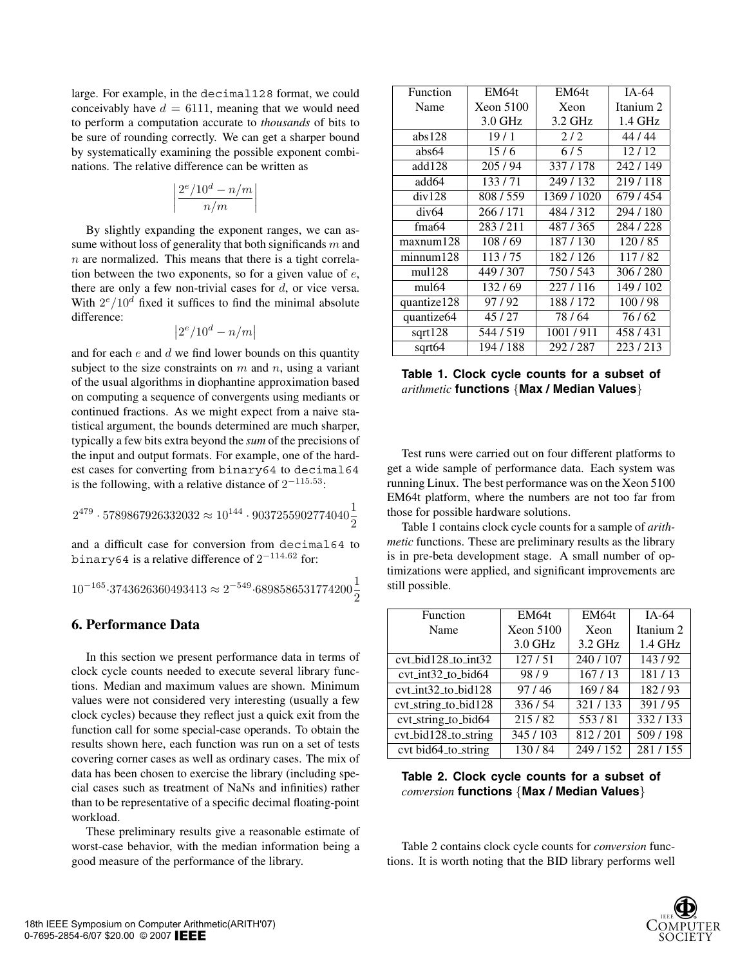large. For example, in the decimal128 format, we could conceivably have  $d = 6111$ , meaning that we would need to perform a computation accurate to *thousands* of bits to be sure of rounding correctly. We can get a sharper bound by systematically examining the possible exponent combinations. The relative difference can be written as

$$
\left|\frac{2^e/10^d-n/m}{n/m}\right|
$$

By slightly expanding the exponent ranges, we can assume without loss of generality that both significands  $m$  and  $n$  are normalized. This means that there is a tight correlation between the two exponents, so for a given value of  $e$ , there are only a few non-trivial cases for  $d$ , or vice versa. With  $2^e/10^d$  fixed it suffices to find the minimal absolute difference:

$$
\left|2^e/10^d-n/m\right|
$$

and for each  $e$  and  $d$  we find lower bounds on this quantity subject to the size constraints on  $m$  and  $n$ , using a variant of the usual algorithms in diophantine approximation based on computing a sequence of convergents using mediants or continued fractions. As we might expect from a naive statistical argument, the bounds determined are much sharper, typically a few bits extra beyond the *sum* of the precisions of the input and output formats. For example, one of the hardest cases for converting from binary64 to decimal64 is the following, with a relative distance of  $2^{-115.53}$ :

$$
2^{479}\cdot 5789867926332032\approx 10^{144}\cdot 9037255902774040\frac{1}{2}
$$

and a difficult case for conversion from decimal64 to binary64 is a relative difference of  $2^{-114.62}$  for:

$$
10^{-165} \cdot 3743626360493413 \approx 2^{-549} \cdot 6898586531774200 \frac{1}{2}
$$

## **6. Performance Data**

In this section we present performance data in terms of clock cycle counts needed to execute several library functions. Median and maximum values are shown. Minimum values were not considered very interesting (usually a few clock cycles) because they reflect just a quick exit from the function call for some special-case operands. To obtain the results shown here, each function was run on a set of tests covering corner cases as well as ordinary cases. The mix of data has been chosen to exercise the library (including special cases such as treatment of NaNs and infinities) rather than to be representative of a specific decimal floating-point workload.

These preliminary results give a reasonable estimate of worst-case behavior, with the median information being a good measure of the performance of the library.

| Function          | <b>EM64t</b> | <b>EM64t</b> | $IA-64$   |
|-------------------|--------------|--------------|-----------|
| Name              | Xeon 5100    | Xeon         | Itanium 2 |
|                   | $3.0$ GHz    | 3.2 GHz      | $1.4$ GHz |
| abs128            | 19/1         | 2/2          | 44 / 44   |
| abs64             | 15/6         | 6/5          | 12/12     |
| add128            | 205/94       | 337/178      | 242 / 149 |
| add64             | 133/71       | 249/132      | 219/118   |
| div128            | 808/559      | 1369 / 1020  | 679/454   |
| div64             | 266/171      | 484/312      | 294/180   |
| fma64             | 283/211      | 487/365      | 284/228   |
| maxnum128         | 108/69       | 187/130      | 120/85    |
| minnum128         | 113/75       | 182/126      | 117/82    |
| mul128            | 449 / 307    | 750/543      | 306/280   |
| mul <sub>64</sub> | 132/69       | 227/116      | 149/102   |
| quantize128       | 97/92        | 188/172      | 100/98    |
| quantize64        | 45/27        | 78/64        | 76/62     |
| $sqrt{128}$       | 544/519      | 1001/911     | 458/431   |
| sqrt64            | 194/188      | 292/287      | 223/213   |

**Table 1. Clock cycle counts for a subset of** *arithmetic* **functions** {**Max / Median Values**}

Test runs were carried out on four different platforms to get a wide sample of performance data. Each system was running Linux. The best performance was on the Xeon 5100 EM64t platform, where the numbers are not too far from those for possible hardware solutions.

Table 1 contains clock cycle counts for a sample of *arithmetic* functions. These are preliminary results as the library is in pre-beta development stage. A small number of optimizations were applied, and significant improvements are still possible.

| Function                                     | <b>EM64t</b> | <b>EM64t</b> | $IA-64$   |
|----------------------------------------------|--------------|--------------|-----------|
| Name                                         | Xeon 5100    | Xeon         | Itanium 2 |
|                                              | 3.0 GHz      | $3.2$ GHz    | $1.4$ GHz |
| $\text{cvt\_bid128\_to\_int32}$              | 127/51       | 240/107      | 143/92    |
| $cvt_int32_to_bid64$                         | 98/9         | 167/13       | 181/13    |
| $\text{cvt}\_$ int $32\_$ to $\text{bid}128$ | 97/46        | 169/84       | 182/93    |
| cvt_string_to_bid128                         | 336/54       | 321/133      | 391/95    |
| cvt_string_to_bid64                          | 215/82       | 553/81       | 332/133   |
| cvt_bid128_to_string                         | 345 / 103    | 812/201      | 509/198   |
| cvt bid64_to_string                          | 130/84       | 249/152      | 281/155   |

**Table 2. Clock cycle counts for a subset of** *conversion* **functions** {**Max / Median Values**}

Table 2 contains clock cycle counts for *conversion* functions. It is worth noting that the BID library performs well

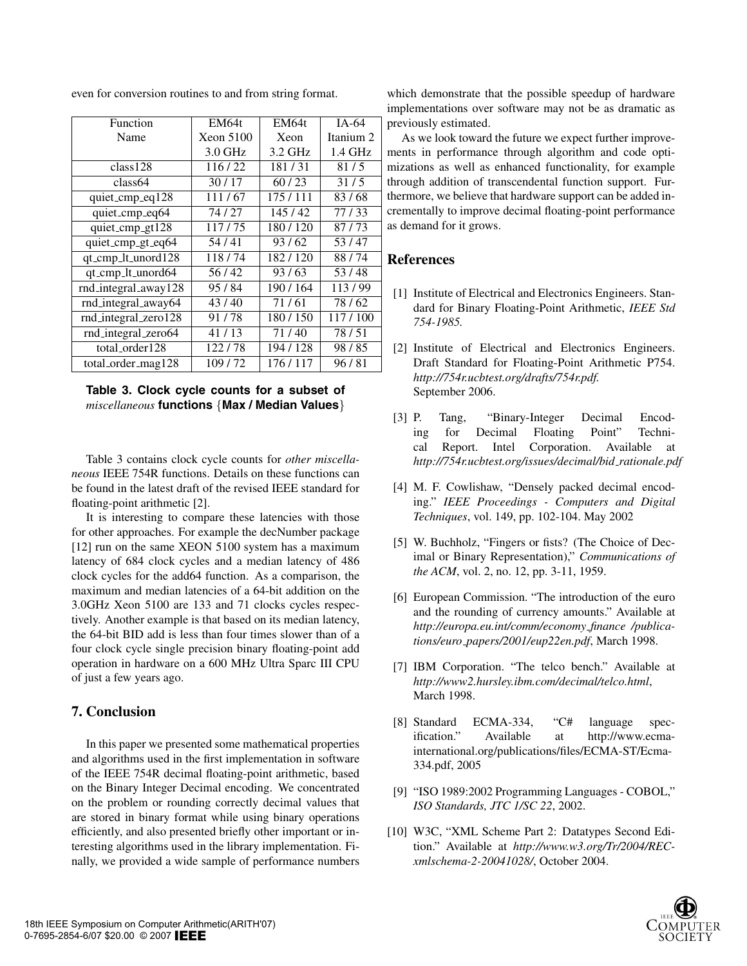|  | even for conversion routines to and from string format. |  |  |  |
|--|---------------------------------------------------------|--|--|--|
|  |                                                         |  |  |  |

| Function             | EM64t     | <b>EM64t</b> | $IA-64$   |
|----------------------|-----------|--------------|-----------|
| Name                 | Xeon 5100 | Xeon         | Itanium 2 |
|                      | $3.0$ GHz | 3.2 GHz      | 1.4 GHz   |
| class128             | 116/22    | 181/31       | 81/5      |
| class <sub>64</sub>  | 30/17     | 60/23        | 31/5      |
| quiet_cmp_eq128      | 111/67    | 175/111      | 83/68     |
| quiet_cmp_eq64       | 74/27     | 145/42       | 77/33     |
| quiet_cmp_gt128      | 117/75    | 180/120      | 87/73     |
| quiet_cmp_gt_eq64    | 54/41     | 93/62        | 53/47     |
| qt_cmp_lt_unord128   | 118/74    | 182/120      | 88/74     |
| qt_cmp_lt_unord64    | 56/42     | 93/63        | 53/48     |
| rnd_integral_away128 | 95/84     | 190/164      | 113/99    |
| rnd_integral_away64  | 43/40     | 71/61        | 78/62     |
| rnd_integral_zero128 | 91/78     | 180/150      | 117/100   |
| rnd_integral_zero64  | 41/13     | 71/40        | 78/51     |
| total_order128       | 122/78    | 194 / 128    | 98/85     |
| total_order_mag128   | 109/72    | 176/117      | 96/81     |

## **Table 3. Clock cycle counts for a subset of** *miscellaneous* **functions** {**Max / Median Values**}

Table 3 contains clock cycle counts for *other miscellaneous* IEEE 754R functions. Details on these functions can be found in the latest draft of the revised IEEE standard for floating-point arithmetic [2].

It is interesting to compare these latencies with those for other approaches. For example the decNumber package [12] run on the same XEON 5100 system has a maximum latency of 684 clock cycles and a median latency of 486 clock cycles for the add64 function. As a comparison, the maximum and median latencies of a 64-bit addition on the 3.0GHz Xeon 5100 are 133 and 71 clocks cycles respectively. Another example is that based on its median latency, the 64-bit BID add is less than four times slower than of a four clock cycle single precision binary floating-point add operation in hardware on a 600 MHz Ultra Sparc III CPU of just a few years ago.

## **7. Conclusion**

In this paper we presented some mathematical properties and algorithms used in the first implementation in software of the IEEE 754R decimal floating-point arithmetic, based on the Binary Integer Decimal encoding. We concentrated on the problem or rounding correctly decimal values that are stored in binary format while using binary operations efficiently, and also presented briefly other important or interesting algorithms used in the library implementation. Finally, we provided a wide sample of performance numbers which demonstrate that the possible speedup of hardware implementations over software may not be as dramatic as previously estimated.

As we look toward the future we expect further improvements in performance through algorithm and code optimizations as well as enhanced functionality, for example through addition of transcendental function support. Furthermore, we believe that hardware support can be added incrementally to improve decimal floating-point performance as demand for it grows.

# **References**

- [1] Institute of Electrical and Electronics Engineers. Standard for Binary Floating-Point Arithmetic, *IEEE Std 754-1985.*
- [2] Institute of Electrical and Electronics Engineers. Draft Standard for Floating-Point Arithmetic P754. *http://754r.ucbtest.org/drafts/754r.pdf.* September 2006.
- [3] P. Tang, "Binary-Integer Decimal Encoding for Decimal Floating Point" Technical Report. Intel Corporation. Available at *http://754r.ucbtest.org/issues/decimal/bid rationale.pdf*
- [4] M. F. Cowlishaw, "Densely packed decimal encoding." *IEEE Proceedings - Computers and Digital Techniques*, vol. 149, pp. 102-104. May 2002
- [5] W. Buchholz, "Fingers or fists? (The Choice of Decimal or Binary Representation)," *Communications of the ACM*, vol. 2, no. 12, pp. 3-11, 1959.
- [6] European Commission. "The introduction of the euro and the rounding of currency amounts." Available at *http://europa.eu.int/comm/economy finance /publications/euro papers/2001/eup22en.pdf*, March 1998.
- [7] IBM Corporation. "The telco bench." Available at *http://www2.hursley.ibm.com/decimal/telco.html*, March 1998.
- [8] Standard ECMA-334, "C# language specification." Available at http://www.ecmainternational.org/publications/files/ECMA-ST/Ecma-334.pdf, 2005
- [9] "ISO 1989:2002 Programming Languages COBOL," *ISO Standards, JTC 1/SC 22*, 2002.
- [10] W3C, "XML Scheme Part 2: Datatypes Second Edition." Available at *http://www.w3.org/Tr/2004/RECxmlschema-2-20041028/*, October 2004.